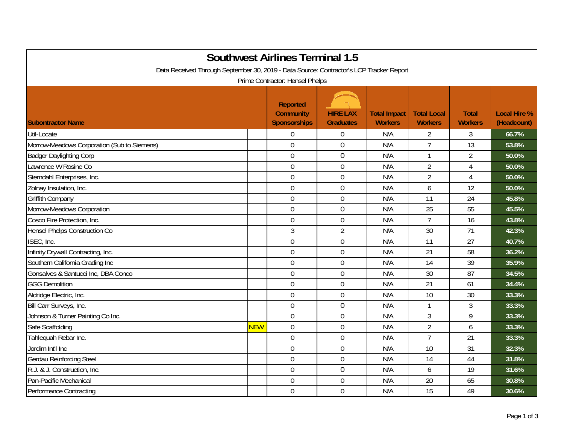| <b>Southwest Airlines Terminal 1.5</b><br>Data Received Through September 30, 2019 - Data Source: Contractor's LCP Tracker Report<br>Prime Contractor: Hensel Phelps |            |                                                            |                                     |                                       |                                      |                                |                                    |  |
|----------------------------------------------------------------------------------------------------------------------------------------------------------------------|------------|------------------------------------------------------------|-------------------------------------|---------------------------------------|--------------------------------------|--------------------------------|------------------------------------|--|
| <b>Subontractor Name</b>                                                                                                                                             |            | <b>Reported</b><br><b>Community</b><br><b>Sponsorships</b> | <b>HIRE LAX</b><br><b>Graduates</b> | <b>Total Impact</b><br><b>Workers</b> | <b>Total Local</b><br><b>Workers</b> | <b>Total</b><br><b>Workers</b> | <b>Local Hire %</b><br>(Headcount) |  |
| Util-Locate                                                                                                                                                          |            | $\overline{0}$                                             | $\boldsymbol{0}$                    | N/A                                   | $\overline{2}$                       | 3                              | 66.7%                              |  |
| Morrow-Meadows Corporation (Sub to Siemens)                                                                                                                          |            | $\overline{0}$                                             | $\overline{0}$                      | N/A                                   | $\overline{7}$                       | 13                             | 53.8%                              |  |
| <b>Badger Daylighting Corp</b>                                                                                                                                       |            | $\mathbf 0$                                                | $\mathbf 0$                         | N/A                                   | $\mathbf{1}$                         | $\overline{2}$                 | 50.0%                              |  |
| Lawrence W Rosine Co                                                                                                                                                 |            | $\overline{0}$                                             | $\mathbf 0$                         | N/A                                   | $\overline{2}$                       | 4                              | 50.0%                              |  |
| Sterndahl Enterprises, Inc.                                                                                                                                          |            | $\mathbf 0$                                                | $\mathbf 0$                         | N/A                                   | $\overline{2}$                       | 4                              | 50.0%                              |  |
| Zolnay Insulation, Inc.                                                                                                                                              |            | $\overline{0}$                                             | $\mathbf 0$                         | N/A                                   | 6                                    | 12                             | 50.0%                              |  |
| Griffith Company                                                                                                                                                     |            | $\mathbf 0$                                                | $\boldsymbol{0}$                    | N/A                                   | 11                                   | 24                             | 45.8%                              |  |
| Morrow-Meadows Corporation                                                                                                                                           |            | $\mathbf 0$                                                | $\mathbf 0$                         | N/A                                   | 25                                   | 55                             | 45.5%                              |  |
| Cosco Fire Protection, Inc.                                                                                                                                          |            | $\mathbf 0$                                                | $\boldsymbol{0}$                    | N/A                                   | $\overline{7}$                       | 16                             | 43.8%                              |  |
| Hensel Phelps Construction Co                                                                                                                                        |            | $\mathfrak{Z}$                                             | $\overline{2}$                      | N/A                                   | 30                                   | 71                             | 42.3%                              |  |
| ISEC, Inc.                                                                                                                                                           |            | $\mathbf 0$                                                | $\mathbf 0$                         | N/A                                   | 11                                   | 27                             | 40.7%                              |  |
| Infinity Drywall Contracting, Inc.                                                                                                                                   |            | $\overline{0}$                                             | $\mathbf 0$                         | N/A                                   | 21                                   | 58                             | 36.2%                              |  |
| Southern California Grading Inc                                                                                                                                      |            | $\mathbf 0$                                                | $\mathbf 0$                         | N/A                                   | 14                                   | 39                             | 35.9%                              |  |
| Gonsalves & Santucci Inc, DBA Conco                                                                                                                                  |            | $\mathbf 0$                                                | $\boldsymbol{0}$                    | N/A                                   | 30                                   | 87                             | 34.5%                              |  |
| <b>GGG Demolition</b>                                                                                                                                                |            | $\mathbf 0$                                                | $\boldsymbol{0}$                    | N/A                                   | 21                                   | 61                             | 34.4%                              |  |
| Aldridge Electric, Inc.                                                                                                                                              |            | $\overline{0}$                                             | $\mathbf 0$                         | N/A                                   | 10                                   | 30                             | 33.3%                              |  |
| Bill Carr Surveys, Inc.                                                                                                                                              |            | $\mathbf 0$                                                | $\boldsymbol{0}$                    | N/A                                   | $\mathbf{1}$                         | 3                              | 33.3%                              |  |
| Johnson & Turner Painting Co Inc.                                                                                                                                    |            | $\mathbf 0$                                                | $\mathbf 0$                         | N/A                                   | 3                                    | 9                              | 33.3%                              |  |
| Safe Scaffolding                                                                                                                                                     | <b>NEW</b> | $\mathbf 0$                                                | $\boldsymbol{0}$                    | N/A                                   | $\overline{2}$                       | 6                              | 33.3%                              |  |
| Tahlequah Rebar Inc.                                                                                                                                                 |            | $\overline{0}$                                             | $\mathbf 0$                         | N/A                                   | $\overline{7}$                       | 21                             | 33.3%                              |  |
| Jordim Int'l Inc                                                                                                                                                     |            | $\boldsymbol{0}$                                           | $\boldsymbol{0}$                    | N/A                                   | 10                                   | 31                             | 32.3%                              |  |
| <b>Gerdau Reinforcing Steel</b>                                                                                                                                      |            | $\mathbf 0$                                                | $\boldsymbol{0}$                    | N/A                                   | 14                                   | 44                             | 31.8%                              |  |
| R.J. & J. Construction, Inc.                                                                                                                                         |            | $\mathbf 0$                                                | $\mathbf 0$                         | N/A                                   | 6                                    | 19                             | 31.6%                              |  |
| Pan-Pacific Mechanical                                                                                                                                               |            | $\mathbf 0$                                                | $\mathbf 0$                         | N/A                                   | 20                                   | 65                             | 30.8%                              |  |
| <b>Performance Contracting</b>                                                                                                                                       |            | $\mathbf 0$                                                | $\mathbf 0$                         | N/A                                   | 15                                   | 49                             | 30.6%                              |  |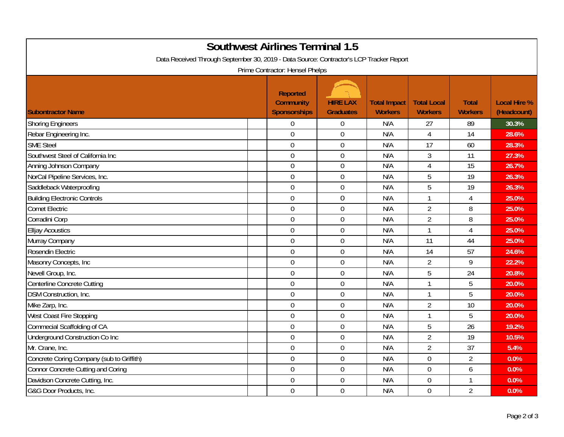| <b>Southwest Airlines Terminal 1.5</b><br>Data Received Through September 30, 2019 - Data Source: Contractor's LCP Tracker Report<br>Prime Contractor: Hensel Phelps |                                                     |                                     |                                       |                                      |                                |                                    |  |  |
|----------------------------------------------------------------------------------------------------------------------------------------------------------------------|-----------------------------------------------------|-------------------------------------|---------------------------------------|--------------------------------------|--------------------------------|------------------------------------|--|--|
| <b>Subontractor Name</b>                                                                                                                                             | <b>Reported</b><br><b>Community</b><br>Sponsorships | <b>HIRE LAX</b><br><b>Graduates</b> | <b>Total Impact</b><br><b>Workers</b> | <b>Total Local</b><br><b>Workers</b> | <b>Total</b><br><b>Workers</b> | <b>Local Hire %</b><br>(Headcount) |  |  |
| <b>Shoring Engineers</b>                                                                                                                                             | $\mathbf 0$                                         | $\mathbf 0$                         | N/A                                   | 27                                   | 89                             | 30.3%                              |  |  |
| Rebar Engineering Inc.                                                                                                                                               | $\mathbf 0$                                         | $\mathbf 0$                         | N/A                                   | $\overline{4}$                       | 14                             | 28.6%                              |  |  |
| <b>SME Steel</b>                                                                                                                                                     | $\mathbf 0$                                         | $\boldsymbol{0}$                    | N/A                                   | 17                                   | 60                             | 28.3%                              |  |  |
| Southwest Steel of California Inc                                                                                                                                    | $\overline{0}$                                      | $\mathbf 0$                         | N/A                                   | $\mathfrak{Z}$                       | 11                             | 27.3%                              |  |  |
| Anning Johnson Company                                                                                                                                               | $\mathbf 0$                                         | $\mathbf 0$                         | N/A                                   | $\overline{4}$                       | $\overline{15}$                | 26.7%                              |  |  |
| NorCal Pipeline Services, Inc.                                                                                                                                       | $\mathbf 0$                                         | $\overline{0}$                      | N/A                                   | 5                                    | 19                             | 26.3%                              |  |  |
| Saddleback Waterproofing                                                                                                                                             | $\mathbf 0$                                         | $\boldsymbol{0}$                    | N/A                                   | 5                                    | 19                             | 26.3%                              |  |  |
| <b>Building Electronic Controls</b>                                                                                                                                  | $\mathbf 0$                                         | $\mathbf 0$                         | N/A                                   | $\mathbf{1}$                         | $\overline{4}$                 | 25.0%                              |  |  |
| <b>Comet Electric</b>                                                                                                                                                | $\mathbf 0$                                         | $\mathbf 0$                         | N/A                                   | $\overline{2}$                       | 8                              | 25.0%                              |  |  |
| Corradini Corp                                                                                                                                                       | $\overline{0}$                                      | $\boldsymbol{0}$                    | N/A                                   | $\overline{2}$                       | 8                              | 25.0%                              |  |  |
| <b>Elljay Acoustics</b>                                                                                                                                              | $\overline{0}$                                      | $\boldsymbol{0}$                    | N/A                                   | $\mathbf{1}$                         | 4                              | 25.0%                              |  |  |
| Murray Company                                                                                                                                                       | $\mathbf 0$                                         | $\boldsymbol{0}$                    | N/A                                   | 11                                   | 44                             | 25.0%                              |  |  |
| Rosendin Electric                                                                                                                                                    | $\mathbf 0$                                         | $\mathbf 0$                         | N/A                                   | 14                                   | 57                             | 24.6%                              |  |  |
| Masonry Concepts, Inc                                                                                                                                                | $\mathbf 0$                                         | $\mathbf 0$                         | N/A                                   | $\overline{2}$                       | 9                              | 22.2%                              |  |  |
| Nevell Group, Inc.                                                                                                                                                   | $\overline{0}$                                      | $\mathbf 0$                         | N/A                                   | 5                                    | 24                             | 20.8%                              |  |  |
| Centerline Concrete Cutting                                                                                                                                          | $\mathbf 0$                                         | $\boldsymbol{0}$                    | N/A                                   |                                      | 5                              | 20.0%                              |  |  |
| <b>DSM Construction, Inc.</b>                                                                                                                                        | $\overline{0}$                                      | $\mathbf 0$                         | N/A                                   | $\mathbf 1$                          | 5                              | 20.0%                              |  |  |
| Mike Zarp, Inc.                                                                                                                                                      | $\mathbf 0$                                         | $\mathbf 0$                         | N/A                                   | $\overline{2}$                       | 10                             | 20.0%                              |  |  |
| West Coast Fire Stopping                                                                                                                                             | $\overline{0}$                                      | $\mathbf 0$                         | N/A                                   | $\mathbf{1}$                         | 5                              | 20.0%                              |  |  |
| Commecial Scaffolding of CA                                                                                                                                          | $\mathbf 0$                                         | $\overline{0}$                      | N/A                                   | 5                                    | 26                             | 19.2%                              |  |  |
| Underground Construction Co Inc                                                                                                                                      | $\boldsymbol{0}$                                    | $\boldsymbol{0}$                    | N/A                                   | $\overline{2}$                       | 19                             | 10.5%                              |  |  |
| Mr. Crane, Inc.                                                                                                                                                      | $\mathbf 0$                                         | $\mathbf 0$                         | N/A                                   | $\overline{2}$                       | 37                             | 5.4%                               |  |  |
| Concrete Coring Company (sub to Griffith)                                                                                                                            | $\mathbf 0$                                         | $\mathbf 0$                         | N/A                                   | $\mathbf 0$                          | $\overline{2}$                 | 0.0%                               |  |  |
| Connor Concrete Cutting and Coring                                                                                                                                   | $\overline{0}$                                      | $\mathbf 0$                         | N/A                                   | $\mathbf 0$                          | 6                              | 0.0%                               |  |  |
| Davidson Concrete Cutting, Inc.                                                                                                                                      | $\mathbf 0$                                         | $\boldsymbol{0}$                    | N/A                                   | $\mathbf 0$                          | $\mathbf{1}$                   | 0.0%                               |  |  |
| G&G Door Products, Inc.                                                                                                                                              | $\overline{0}$                                      | $\mathbf 0$                         | N/A                                   | $\overline{0}$                       | $\overline{2}$                 | 0.0%                               |  |  |